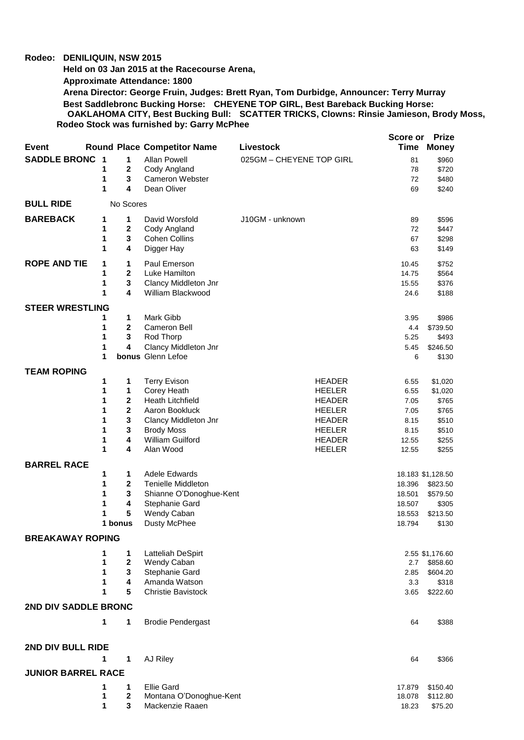## **Rodeo: DENILIQUIN, NSW 2015**

**Held on 03 Jan 2015 at the Racecourse Arena,** 

**Approximate Attendance: 1800**

**Arena Director: George Fruin, Judges: Brett Ryan, Tom Durbidge, Announcer: Terry Murray Best Saddlebronc Bucking Horse: CHEYENE TOP GIRL, Best Bareback Bucking Horse: OAKLAHOMA CITY, Best Bucking Bull: SCATTER TRICKS, Clowns: Rinsie Jamieson, Brody Moss, Rodeo Stock was furnished by: Garry McPhee**

|                             |                              |                                    |                          | Score or       | <b>Prize</b>      |
|-----------------------------|------------------------------|------------------------------------|--------------------------|----------------|-------------------|
| <b>Event</b>                |                              | <b>Round Place Competitor Name</b> | Livestock                | Time           | <b>Money</b>      |
| <b>SADDLE BRONC</b>         | $\overline{\mathbf{1}}$<br>1 | <b>Allan Powell</b>                | 025GM - CHEYENE TOP GIRL | 81             | \$960             |
|                             | 1<br>$\mathbf{2}$            | Cody Angland                       |                          | 78             | \$720             |
|                             | 3<br>1                       | <b>Cameron Webster</b>             |                          | 72             | \$480             |
|                             | 1<br>4                       | Dean Oliver                        |                          | 69             | \$240             |
| <b>BULL RIDE</b>            | No Scores                    |                                    |                          |                |                   |
| <b>BAREBACK</b>             | 1<br>1                       | David Worsfold                     | J10GM - unknown          | 89             | \$596             |
|                             | 1<br>2                       | Cody Angland                       |                          | 72             | \$447             |
|                             | 3<br>1                       | <b>Cohen Collins</b>               |                          | 67             | \$298             |
|                             | 4<br>1                       | Digger Hay                         |                          | 63             | \$149             |
| <b>ROPE AND TIE</b>         |                              |                                    |                          |                |                   |
|                             | 1<br>1<br>2<br>1             | Paul Emerson<br>Luke Hamilton      |                          | 10.45<br>14.75 | \$752<br>\$564    |
|                             | 1<br>3                       | Clancy Middleton Jnr               |                          | 15.55          | \$376             |
|                             | 4<br>1                       | William Blackwood                  |                          | 24.6           | \$188             |
|                             |                              |                                    |                          |                |                   |
| <b>STEER WRESTLING</b>      |                              |                                    |                          |                |                   |
|                             | $\mathbf{1}$<br>1            | Mark Gibb                          |                          | 3.95           | \$986             |
|                             | 1<br>2                       | Cameron Bell                       |                          | 4.4            | \$739.50          |
|                             | 1<br>3                       | Rod Thorp                          |                          | 5.25           | \$493             |
|                             | 4<br>1                       | Clancy Middleton Jnr               |                          | 5.45           | \$246.50          |
|                             | 1                            | bonus Glenn Lefoe                  |                          | 6              | \$130             |
| <b>TEAM ROPING</b>          |                              |                                    |                          |                |                   |
|                             | 1<br>1                       | <b>Terry Evison</b>                | <b>HEADER</b>            | 6.55           | \$1,020           |
|                             | 1<br>1                       | Corey Heath                        | <b>HEELER</b>            | 6.55           | \$1,020           |
|                             | 1<br>2                       | <b>Heath Litchfield</b>            | <b>HEADER</b>            | 7.05           | \$765             |
|                             | $\overline{\mathbf{2}}$<br>1 | Aaron Bookluck                     | <b>HEELER</b>            | 7.05           | \$765             |
|                             | 3<br>1                       | Clancy Middleton Jnr               | <b>HEADER</b>            | 8.15           | \$510             |
|                             | 3<br>1                       | <b>Brody Moss</b>                  | <b>HEELER</b>            | 8.15           | \$510             |
|                             | 4<br>1                       | William Guilford                   | <b>HEADER</b>            | 12.55          | \$255             |
|                             | 1<br>4                       | Alan Wood                          | <b>HEELER</b>            | 12.55          | \$255             |
| <b>BARREL RACE</b>          |                              |                                    |                          |                |                   |
|                             | 1<br>1                       | <b>Adele Edwards</b>               |                          |                | 18.183 \$1,128.50 |
|                             | 2<br>1                       | <b>Tenielle Middleton</b>          |                          | 18.396         | \$823.50          |
|                             | 3<br>1                       | Shianne O'Donoghue-Kent            |                          | 18.501         | \$579.50          |
|                             | 1<br>4                       | Stephanie Gard                     |                          | 18.507         | \$305             |
|                             | 5<br>1                       | Wendy Caban                        |                          | 18.553         | \$213.50          |
|                             | 1 bonus                      | Dusty McPhee                       |                          | 18.794         | \$130             |
| <b>BREAKAWAY ROPING</b>     |                              |                                    |                          |                |                   |
|                             | 1<br>1                       | Latteliah DeSpirt                  |                          |                | 2.55 \$1,176.60   |
|                             | 1<br>2                       | Wendy Caban                        |                          | 2.7            | \$858.60          |
|                             | 1<br>3                       | Stephanie Gard                     |                          | 2.85           | \$604.20          |
|                             | 4<br>1<br>1<br>5             | Amanda Watson                      |                          | 3.3            | \$318             |
|                             |                              | <b>Christie Bavistock</b>          |                          | 3.65           | \$222.60          |
| <b>2ND DIV SADDLE BRONC</b> |                              |                                    |                          |                |                   |
|                             | 1<br>1                       | <b>Brodie Pendergast</b>           |                          | 64             | \$388             |
|                             |                              |                                    |                          |                |                   |
| 2ND DIV BULL RIDE           |                              |                                    |                          |                |                   |
|                             | 1<br>1                       | AJ Riley                           |                          | 64             | \$366             |
| <b>JUNIOR BARREL RACE</b>   |                              |                                    |                          |                |                   |
|                             | 1<br>1                       | <b>Ellie Gard</b>                  |                          | 17.879         | \$150.40          |
|                             | 2<br>1                       | Montana O'Donoghue-Kent            |                          | 18.078         | \$112.80          |
|                             | 3<br>1                       | Mackenzie Raaen                    |                          | 18.23          | \$75.20           |